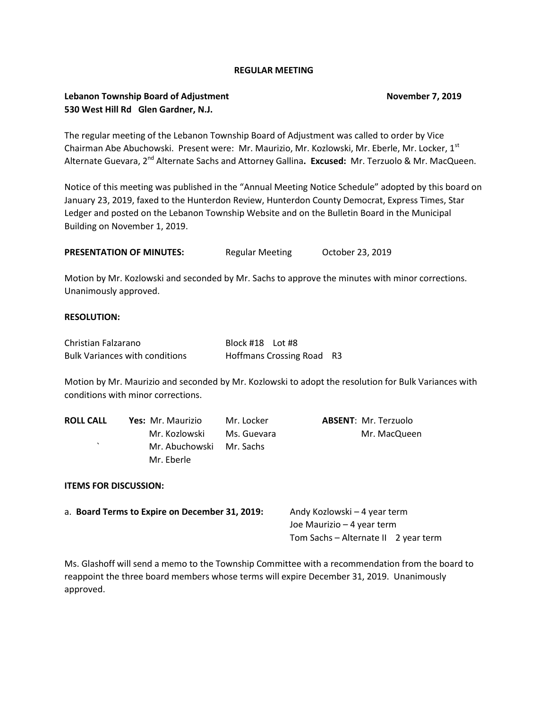### **REGULAR MEETING**

## **Lebanon Township Board of Adjustment November 7, 2019 530 West Hill Rd Glen Gardner, N.J.**

The regular meeting of the Lebanon Township Board of Adjustment was called to order by Vice Chairman Abe Abuchowski. Present were: Mr. Maurizio, Mr. Kozlowski, Mr. Eberle, Mr. Locker, 1st Alternate Guevara, 2nd Alternate Sachs and Attorney Gallina**. Excused:** Mr. Terzuolo & Mr. MacQueen.

Notice of this meeting was published in the "Annual Meeting Notice Schedule" adopted by this board on January 23, 2019, faxed to the Hunterdon Review, Hunterdon County Democrat, Express Times, Star Ledger and posted on the Lebanon Township Website and on the Bulletin Board in the Municipal Building on November 1, 2019.

**PRESENTATION OF MINUTES:** Regular Meeting October 23, 2019

Motion by Mr. Kozlowski and seconded by Mr. Sachs to approve the minutes with minor corrections. Unanimously approved.

### **RESOLUTION:**

| Christian Falzarano                   | Block #18 Lot #8                 |  |
|---------------------------------------|----------------------------------|--|
| <b>Bulk Variances with conditions</b> | <b>Hoffmans Crossing Road R3</b> |  |

Motion by Mr. Maurizio and seconded by Mr. Kozlowski to adopt the resolution for Bulk Variances with conditions with minor corrections.

| Yes: Mr. Maurizio | Mr. Locker  | <b>ABSENT: Mr. Terzuolo</b> |
|-------------------|-------------|-----------------------------|
| Mr. Kozlowski     | Ms. Guevara | Mr. MacQueen                |
|                   |             |                             |
| Mr. Eberle        |             |                             |
|                   |             | Mr. Abuchowski Mr. Sachs    |

#### **ITEMS FOR DISCUSSION:**

| a. Board Terms to Expire on December 31, 2019: | Andy Kozlowski – 4 year term         |  |
|------------------------------------------------|--------------------------------------|--|
|                                                | Joe Maurizio – 4 year term           |  |
|                                                | Tom Sachs – Alternate II 2 year term |  |

Ms. Glashoff will send a memo to the Township Committee with a recommendation from the board to reappoint the three board members whose terms will expire December 31, 2019. Unanimously approved.